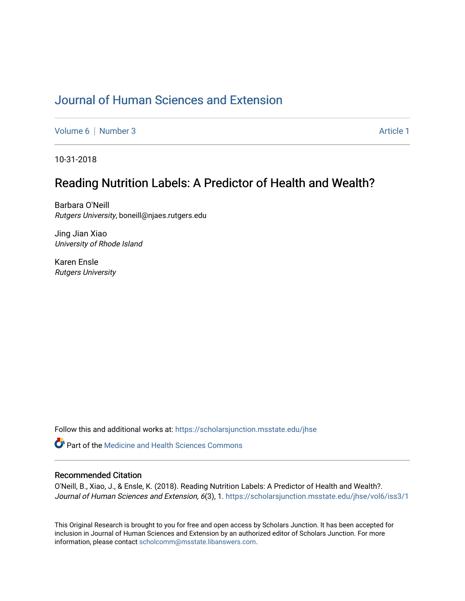# [Journal of Human Sciences and Extension](https://scholarsjunction.msstate.edu/jhse)

[Volume 6](https://scholarsjunction.msstate.edu/jhse/vol6) | [Number 3](https://scholarsjunction.msstate.edu/jhse/vol6/iss3) Article 1

10-31-2018

# Reading Nutrition Labels: A Predictor of Health and Wealth?

Barbara O'Neill Rutgers University, boneill@njaes.rutgers.edu

Jing Jian Xiao University of Rhode Island

Karen Ensle Rutgers University

Follow this and additional works at: [https://scholarsjunction.msstate.edu/jhse](https://scholarsjunction.msstate.edu/jhse?utm_source=scholarsjunction.msstate.edu%2Fjhse%2Fvol6%2Fiss3%2F1&utm_medium=PDF&utm_campaign=PDFCoverPages)

**C** Part of the Medicine and Health Sciences Commons

### Recommended Citation

O'Neill, B., Xiao, J., & Ensle, K. (2018). Reading Nutrition Labels: A Predictor of Health and Wealth?. Journal of Human Sciences and Extension, 6(3), 1. https://scholarsjunction.msstate.edu/jhse/vol6/iss3/1

This Original Research is brought to you for free and open access by Scholars Junction. It has been accepted for inclusion in Journal of Human Sciences and Extension by an authorized editor of Scholars Junction. For more information, please contact [scholcomm@msstate.libanswers.com](mailto:scholcomm@msstate.libanswers.com).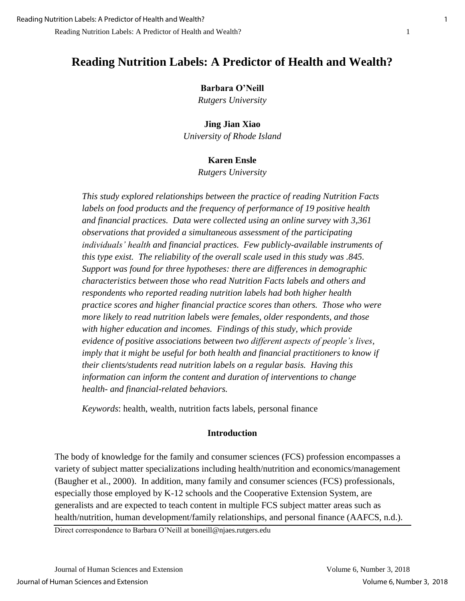## **Barbara O'Neill**

*Rutgers University*

## **Jing Jian Xiao**

*University of Rhode Island*

# **Karen Ensle**

*Rutgers University*

*This study explored relationships between the practice of reading Nutrition Facts labels on food products and the frequency of performance of 19 positive health and financial practices. Data were collected using an online survey with 3,361 observations that provided a simultaneous assessment of the participating individuals' health and financial practices. Few publicly-available instruments of this type exist. The reliability of the overall scale used in this study was .845. Support was found for three hypotheses: there are differences in demographic characteristics between those who read Nutrition Facts labels and others and respondents who reported reading nutrition labels had both higher health practice scores and higher financial practice scores than others. Those who were more likely to read nutrition labels were females, older respondents, and those with higher education and incomes. Findings of this study, which provide evidence of positive associations between two different aspects of people's lives, imply that it might be useful for both health and financial practitioners to know if their clients/students read nutrition labels on a regular basis. Having this information can inform the content and duration of interventions to change health- and financial-related behaviors.*

*Keywords*: health, wealth, nutrition facts labels, personal finance

# **Introduction**

The body of knowledge for the family and consumer sciences (FCS) profession encompasses a variety of subject matter specializations including health/nutrition and economics/management (Baugher et al., 2000). In addition, many family and consumer sciences (FCS) professionals, especially those employed by K-12 schools and the Cooperative Extension System, are generalists and are expected to teach content in multiple FCS subject matter areas such as health/nutrition, human development/family relationships, and personal finance (AAFCS, n.d.).

Direct correspondence to Barbara O'Neill at boneill@njaes.rutgers.edu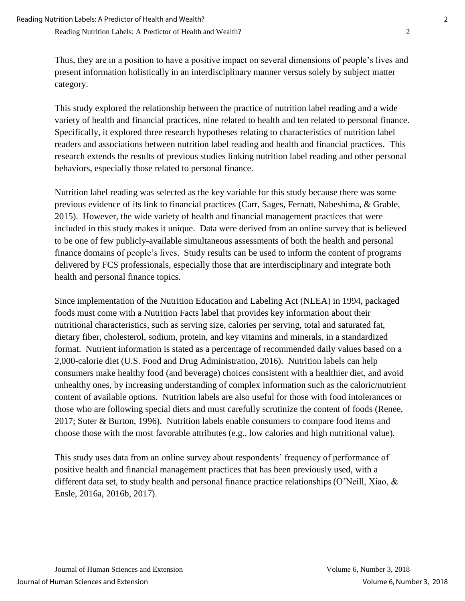Thus, they are in a position to have a positive impact on several dimensions of people's lives and present information holistically in an interdisciplinary manner versus solely by subject matter category.

This study explored the relationship between the practice of nutrition label reading and a wide variety of health and financial practices, nine related to health and ten related to personal finance. Specifically, it explored three research hypotheses relating to characteristics of nutrition label readers and associations between nutrition label reading and health and financial practices. This research extends the results of previous studies linking nutrition label reading and other personal behaviors, especially those related to personal finance.

Nutrition label reading was selected as the key variable for this study because there was some previous evidence of its link to financial practices (Carr, Sages, Fernatt, Nabeshima, & Grable, 2015). However, the wide variety of health and financial management practices that were included in this study makes it unique. Data were derived from an online survey that is believed to be one of few publicly-available simultaneous assessments of both the health and personal finance domains of people's lives. Study results can be used to inform the content of programs delivered by FCS professionals, especially those that are interdisciplinary and integrate both health and personal finance topics.

Since implementation of the Nutrition Education and Labeling Act (NLEA) in 1994, packaged foods must come with a Nutrition Facts label that provides key information about their nutritional characteristics, such as serving size, calories per serving, total and saturated fat, dietary fiber, cholesterol, sodium, protein, and key vitamins and minerals, in a standardized format. Nutrient information is stated as a percentage of recommended daily values based on a 2,000-calorie diet (U.S. Food and Drug Administration, 2016). Nutrition labels can help consumers make healthy food (and beverage) choices consistent with a healthier diet, and avoid unhealthy ones, by increasing understanding of complex information such as the caloric/nutrient content of available options. Nutrition labels are also useful for those with food intolerances or those who are following special diets and must carefully scrutinize the content of foods (Renee, 2017; Suter & Burton, 1996). Nutrition labels enable consumers to compare food items and choose those with the most favorable attributes (e.g., low calories and high nutritional value).

This study uses data from an online survey about respondents' frequency of performance of positive health and financial management practices that has been previously used, with a different data set, to study health and personal finance practice relationships (O'Neill, Xiao, & Ensle, 2016a, 2016b, 2017).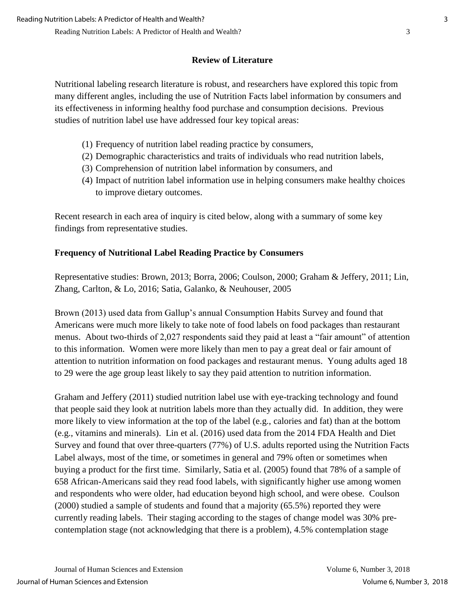# **Review of Literature**

Nutritional labeling research literature is robust, and researchers have explored this topic from many different angles, including the use of Nutrition Facts label information by consumers and its effectiveness in informing healthy food purchase and consumption decisions. Previous studies of nutrition label use have addressed four key topical areas:

- (1) Frequency of nutrition label reading practice by consumers,
- (2) Demographic characteristics and traits of individuals who read nutrition labels,
- (3) Comprehension of nutrition label information by consumers, and
- (4) Impact of nutrition label information use in helping consumers make healthy choices to improve dietary outcomes.

Recent research in each area of inquiry is cited below, along with a summary of some key findings from representative studies.

# **Frequency of Nutritional Label Reading Practice by Consumers**

Representative studies: Brown, 2013; Borra, 2006; Coulson, 2000; Graham & Jeffery, 2011; Lin, Zhang, Carlton, & Lo, 2016; Satia, Galanko, & Neuhouser, 2005

Brown (2013) used data from Gallup's annual Consumption Habits Survey and found that Americans were much more likely to take note of food labels on food packages than restaurant menus. About two-thirds of 2,027 respondents said they paid at least a "fair amount" of attention to this information. Women were more likely than men to pay a great deal or fair amount of attention to nutrition information on food packages and restaurant menus. Young adults aged 18 to 29 were the age group least likely to say they paid attention to nutrition information.

Graham and Jeffery (2011) studied nutrition label use with eye-tracking technology and found that people said they look at nutrition labels more than they actually did. In addition, they were more likely to view information at the top of the label (e.g., calories and fat) than at the bottom (e.g., vitamins and minerals). Lin et al. (2016) used data from the 2014 FDA Health and Diet Survey and found that over three-quarters (77%) of U.S. adults reported using the Nutrition Facts Label always, most of the time, or sometimes in general and 79% often or sometimes when buying a product for the first time. Similarly, Satia et al. (2005) found that 78% of a sample of 658 African-Americans said they read food labels, with significantly higher use among women and respondents who were older, had education beyond high school, and were obese. Coulson (2000) studied a sample of students and found that a majority (65.5%) reported they were currently reading labels. Their staging according to the stages of change model was 30% precontemplation stage (not acknowledging that there is a problem), 4.5% contemplation stage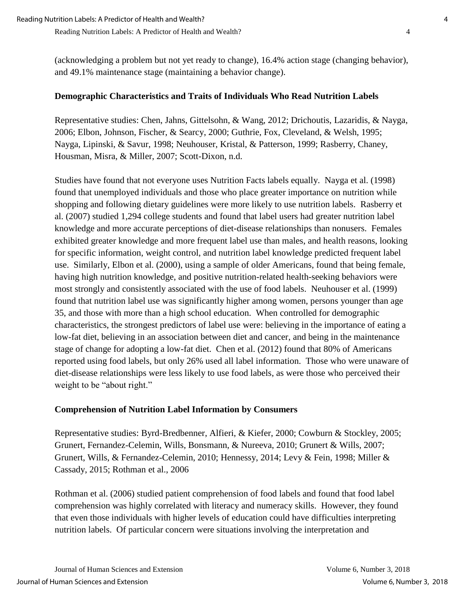(acknowledging a problem but not yet ready to change), 16.4% action stage (changing behavior), and 49.1% maintenance stage (maintaining a behavior change).

# **Demographic Characteristics and Traits of Individuals Who Read Nutrition Labels**

Representative studies: Chen, Jahns, Gittelsohn, & Wang, 2012; Drichoutis, Lazaridis, & Nayga, 2006; Elbon, Johnson, Fischer, & Searcy, 2000; Guthrie, Fox, Cleveland, & Welsh, 1995; Nayga, Lipinski, & Savur, 1998; Neuhouser, Kristal, & Patterson, 1999; Rasberry, Chaney, Housman, Misra, & Miller, 2007; Scott-Dixon, n.d.

Studies have found that not everyone uses Nutrition Facts labels equally. Nayga et al. (1998) found that unemployed individuals and those who place greater importance on nutrition while shopping and following dietary guidelines were more likely to use nutrition labels. Rasberry et al. (2007) studied 1,294 college students and found that label users had greater nutrition label knowledge and more accurate perceptions of diet-disease relationships than nonusers. Females exhibited greater knowledge and more frequent label use than males, and health reasons, looking for specific information, weight control, and nutrition label knowledge predicted frequent label use. Similarly, Elbon et al. (2000), using a sample of older Americans, found that being female, having high nutrition knowledge, and positive nutrition-related health-seeking behaviors were most strongly and consistently associated with the use of food labels. Neuhouser et al. (1999) found that nutrition label use was significantly higher among women, persons younger than age 35, and those with more than a high school education. When controlled for demographic characteristics, the strongest predictors of label use were: believing in the importance of eating a low-fat diet, believing in an association between diet and cancer, and being in the maintenance stage of change for adopting a low-fat diet. Chen et al. (2012) found that 80% of Americans reported using food labels, but only 26% used all label information. Those who were unaware of diet-disease relationships were less likely to use food labels, as were those who perceived their weight to be "about right."

# **Comprehension of Nutrition Label Information by Consumers**

Representative studies: Byrd-Bredbenner, Alfieri, & Kiefer, 2000; Cowburn & Stockley, 2005; Grunert, Fernandez-Celemin, Wills, Bonsmann, & Nureeva, 2010; Grunert & Wills, 2007; Grunert, Wills, & Fernandez-Celemin, 2010; Hennessy, 2014; Levy & Fein, 1998; Miller & Cassady, 2015; Rothman et al., 2006

Rothman et al. (2006) studied patient comprehension of food labels and found that food label comprehension was highly correlated with literacy and numeracy skills. However, they found that even those individuals with higher levels of education could have difficulties interpreting nutrition labels. Of particular concern were situations involving the interpretation and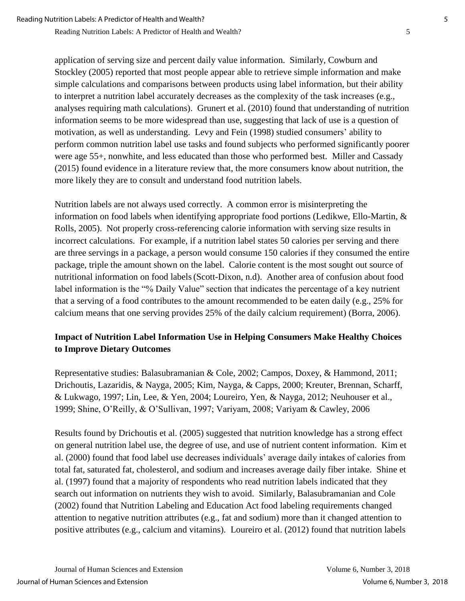application of serving size and percent daily value information. Similarly, Cowburn and Stockley (2005) reported that most people appear able to retrieve simple information and make simple calculations and comparisons between products using label information, but their ability to interpret a nutrition label accurately decreases as the complexity of the task increases (e.g., analyses requiring math calculations). Grunert et al. (2010) found that understanding of nutrition information seems to be more widespread than use, suggesting that lack of use is a question of motivation, as well as understanding. Levy and Fein (1998) studied consumers' ability to perform common nutrition label use tasks and found subjects who performed significantly poorer were age 55+, nonwhite, and less educated than those who performed best. Miller and Cassady (2015) found evidence in a literature review that, the more consumers know about nutrition, the more likely they are to consult and understand food nutrition labels.

Nutrition labels are not always used correctly. A common error is misinterpreting the information on food labels when identifying appropriate food portions (Ledikwe, Ello-Martin, & Rolls, 2005). Not properly cross-referencing calorie information with serving size results in incorrect calculations. For example, if a nutrition label states 50 calories per serving and there are three servings in a package, a person would consume 150 calories if they consumed the entire package, triple the amount shown on the label. Calorie content is the most sought out source of nutritional information on food labels(Scott-Dixon, n.d). Another area of confusion about food label information is the "% Daily Value" section that indicates the percentage of a key nutrient that a serving of a food contributes to the amount recommended to be eaten daily (e.g., 25% for calcium means that one serving provides 25% of the daily calcium requirement) (Borra, 2006).

# **Impact of Nutrition Label Information Use in Helping Consumers Make Healthy Choices to Improve Dietary Outcomes**

Representative studies: Balasubramanian & Cole, 2002; Campos, Doxey, & Hammond, 2011; Drichoutis, Lazaridis, & Nayga, 2005; Kim, Nayga, & Capps, 2000; Kreuter, Brennan, Scharff, & Lukwago, 1997; Lin, Lee, & Yen, 2004; Loureiro, Yen, & Nayga, 2012; Neuhouser et al., 1999; Shine, O'Reilly, & O'Sullivan, 1997; Variyam, 2008; Variyam & Cawley, 2006

Results found by Drichoutis et al. (2005) suggested that nutrition knowledge has a strong effect on general nutrition label use, the degree of use, and use of nutrient content information. Kim et al. (2000) found that food label use decreases individuals' average daily intakes of calories from total fat, saturated fat, cholesterol, and sodium and increases average daily fiber intake. Shine et al. (1997) found that a majority of respondents who read nutrition labels indicated that they search out information on nutrients they wish to avoid. Similarly, Balasubramanian and Cole (2002) found that Nutrition Labeling and Education Act food labeling requirements changed attention to negative nutrition attributes (e.g., fat and sodium) more than it changed attention to positive attributes (e.g., calcium and vitamins). Loureiro et al. (2012) found that nutrition labels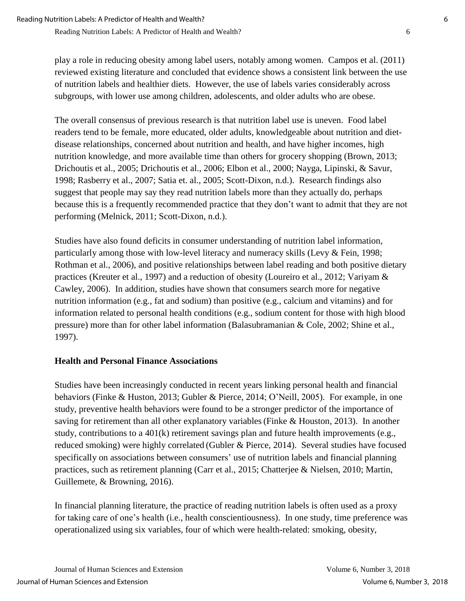play a role in reducing obesity among label users, notably among women. Campos et al. (2011) reviewed existing literature and concluded that evidence shows a consistent link between the use of nutrition labels and healthier diets. However, the use of labels varies considerably across subgroups, with lower use among children, adolescents, and older adults who are obese.

The overall consensus of previous research is that nutrition label use is uneven. Food label readers tend to be female, more educated, older adults, knowledgeable about nutrition and dietdisease relationships, concerned about nutrition and health, and have higher incomes, high nutrition knowledge, and more available time than others for grocery shopping (Brown, 2013; Drichoutis et al., 2005; Drichoutis et al., 2006; Elbon et al., 2000; Nayga, Lipinski, & Savur, 1998; Rasberry et al., 2007; Satia et. al., 2005; Scott-Dixon, n.d.). Research findings also suggest that people may say they read nutrition labels more than they actually do, perhaps because this is a frequently recommended practice that they don't want to admit that they are not performing (Melnick, 2011; Scott-Dixon, n.d.).

Studies have also found deficits in consumer understanding of nutrition label information, particularly among those with low-level literacy and numeracy skills (Levy  $\&$  Fein, 1998; Rothman et al., 2006), and positive relationships between label reading and both positive dietary practices (Kreuter et al., 1997) and a reduction of obesity (Loureiro et al., 2012; Variyam & Cawley, 2006). In addition, studies have shown that consumers search more for negative nutrition information (e.g., fat and sodium) than positive (e.g., calcium and vitamins) and for information related to personal health conditions (e.g., sodium content for those with high blood pressure) more than for other label information (Balasubramanian & Cole, 2002; Shine et al., 1997).

# **Health and Personal Finance Associations**

Studies have been increasingly conducted in recent years linking personal health and financial behaviors (Finke & Huston, 2013; Gubler & Pierce, 2014; O'Neill, 2005). For example, in one study, preventive health behaviors were found to be a stronger predictor of the importance of saving for retirement than all other explanatory variables(Finke & Houston, 2013). In another study, contributions to a 401(k) retirement savings plan and future health improvements (e.g., reduced smoking) were highly correlated (Gubler & Pierce, 2014). Several studies have focused specifically on associations between consumers' use of nutrition labels and financial planning practices, such as retirement planning (Carr et al., 2015; Chatterjee & Nielsen, 2010; Martin, Guillemete, & Browning, 2016).

In financial planning literature, the practice of reading nutrition labels is often used as a proxy for taking care of one's health (i.e., health conscientiousness). In one study, time preference was operationalized using six variables, four of which were health-related: smoking, obesity,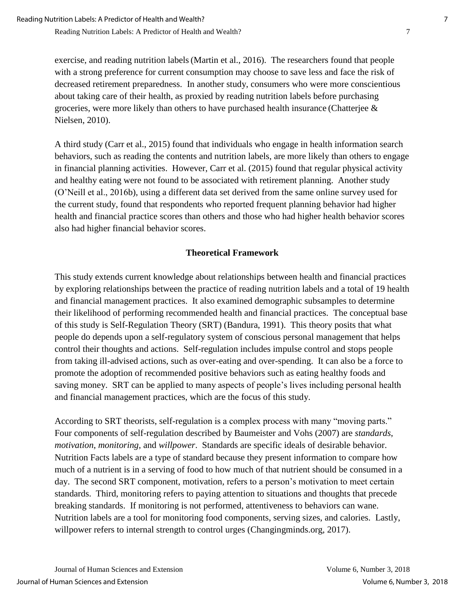exercise, and reading nutrition labels(Martin et al., 2016). The researchers found that people with a strong preference for current consumption may choose to save less and face the risk of decreased retirement preparedness. In another study, consumers who were more conscientious about taking care of their health, as proxied by reading nutrition labels before purchasing groceries, were more likely than others to have purchased health insurance (Chatterjee  $\&$ Nielsen, 2010).

A third study (Carr et al., 2015) found that individuals who engage in health information search behaviors, such as reading the contents and nutrition labels, are more likely than others to engage in financial planning activities. However, Carr et al. (2015) found that regular physical activity and healthy eating were not found to be associated with retirement planning. Another study (O'Neill et al., 2016b), using a different data set derived from the same online survey used for the current study, found that respondents who reported frequent planning behavior had higher health and financial practice scores than others and those who had higher health behavior scores also had higher financial behavior scores.

# **Theoretical Framework**

This study extends current knowledge about relationships between health and financial practices by exploring relationships between the practice of reading nutrition labels and a total of 19 health and financial management practices. It also examined demographic subsamples to determine their likelihood of performing recommended health and financial practices. The conceptual base of this study is Self-Regulation Theory (SRT) (Bandura, 1991). This theory posits that what people do depends upon a self-regulatory system of conscious personal management that helps control their thoughts and actions. Self-regulation includes impulse control and stops people from taking ill-advised actions, such as over-eating and over-spending. It can also be a force to promote the adoption of recommended positive behaviors such as eating healthy foods and saving money. SRT can be applied to many aspects of people's lives including personal health and financial management practices, which are the focus of this study.

According to SRT theorists, self-regulation is a complex process with many "moving parts." Four components of self-regulation described by Baumeister and Vohs (2007) are *standards*, *motivation*, *monitoring*, and *willpower*. Standards are specific ideals of desirable behavior. Nutrition Facts labels are a type of standard because they present information to compare how much of a nutrient is in a serving of food to how much of that nutrient should be consumed in a day. The second SRT component, motivation*,* refers to a person's motivation to meet certain standards. Third, monitoring refers to paying attention to situations and thoughts that precede breaking standards. If monitoring is not performed, attentiveness to behaviors can wane. Nutrition labels are a tool for monitoring food components, serving sizes, and calories. Lastly, willpower refers to internal strength to control urges (Changingminds.org, 2017).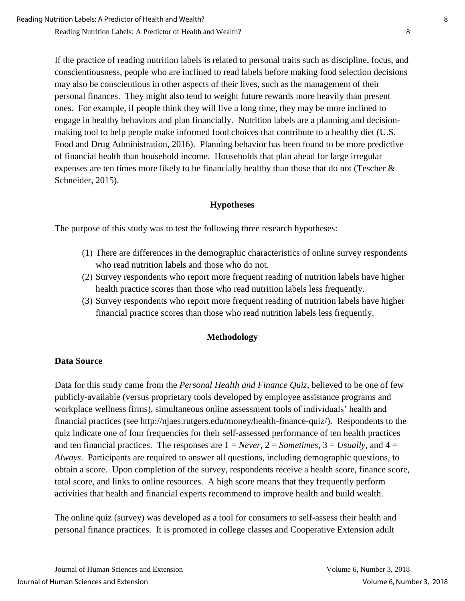If the practice of reading nutrition labels is related to personal traits such as discipline, focus, and conscientiousness, people who are inclined to read labels before making food selection decisions may also be conscientious in other aspects of their lives, such as the management of their personal finances. They might also tend to weight future rewards more heavily than present ones. For example, if people think they will live a long time, they may be more inclined to engage in healthy behaviors and plan financially. Nutrition labels are a planning and decisionmaking tool to help people make informed food choices that contribute to a healthy diet (U.S. Food and Drug Administration, 2016). Planning behavior has been found to be more predictive of financial health than household income. Households that plan ahead for large irregular expenses are ten times more likely to be financially healthy than those that do not (Tescher & Schneider, 2015).

# **Hypotheses**

The purpose of this study was to test the following three research hypotheses:

- (1) There are differences in the demographic characteristics of online survey respondents who read nutrition labels and those who do not.
- (2) Survey respondents who report more frequent reading of nutrition labels have higher health practice scores than those who read nutrition labels less frequently.
- (3) Survey respondents who report more frequent reading of nutrition labels have higher financial practice scores than those who read nutrition labels less frequently.

#### **Methodology**

#### **Data Source**

Data for this study came from the *Personal Health and Finance Quiz*, believed to be one of few publicly-available (versus proprietary tools developed by employee assistance programs and workplace wellness firms), simultaneous online assessment tools of individuals' health and financial practices (see http://njaes.rutgers.edu/money/health-finance-quiz/). Respondents to the quiz indicate one of four frequencies for their self-assessed performance of ten health practices and ten financial practices. The responses are  $1 = Never$ ,  $2 = Sometimes$ ,  $3 = Usually$ , and  $4 =$ *Always*. Participants are required to answer all questions, including demographic questions, to obtain a score. Upon completion of the survey, respondents receive a health score, finance score, total score, and links to online resources. A high score means that they frequently perform activities that health and financial experts recommend to improve health and build wealth.

The online quiz (survey) was developed as a tool for consumers to self-assess their health and personal finance practices. It is promoted in college classes and Cooperative Extension adult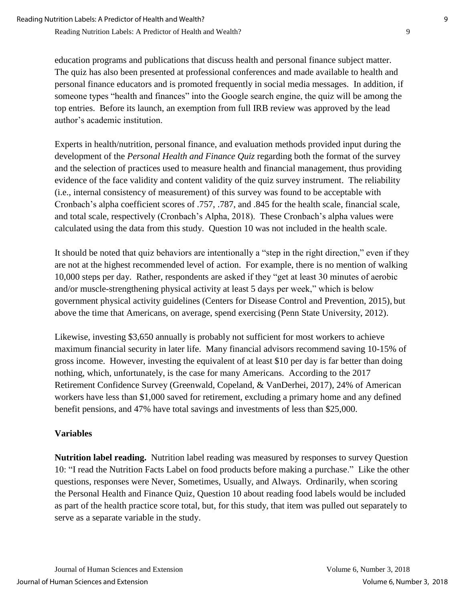education programs and publications that discuss health and personal finance subject matter. The quiz has also been presented at professional conferences and made available to health and personal finance educators and is promoted frequently in social media messages. In addition, if someone types "health and finances" into the Google search engine, the quiz will be among the top entries. Before its launch, an exemption from full IRB review was approved by the lead author's academic institution.

Experts in health/nutrition, personal finance, and evaluation methods provided input during the development of the *Personal Health and Finance Quiz* regarding both the format of the survey and the selection of practices used to measure health and financial management, thus providing evidence of the face validity and content validity of the quiz survey instrument. The reliability (i.e., internal consistency of measurement) of this survey was found to be acceptable with Cronbach's alpha coefficient scores of .757, .787, and .845 for the health scale, financial scale, and total scale, respectively (Cronbach's Alpha, 2018). These Cronbach's alpha values were calculated using the data from this study. Question 10 was not included in the health scale.

It should be noted that quiz behaviors are intentionally a "step in the right direction," even if they are not at the highest recommended level of action. For example, there is no mention of walking 10,000 steps per day. Rather, respondents are asked if they "get at least 30 minutes of aerobic and/or muscle-strengthening physical activity at least 5 days per week," which is below government physical activity guidelines (Centers for Disease Control and Prevention, 2015), but above the time that Americans, on average, spend exercising (Penn State University, 2012).

Likewise, investing \$3,650 annually is probably not sufficient for most workers to achieve maximum financial security in later life. Many financial advisors recommend saving 10-15% of gross income. However, investing the equivalent of at least \$10 per day is far better than doing nothing, which, unfortunately, is the case for many Americans. According to the 2017 Retirement Confidence Survey (Greenwald, Copeland, & VanDerhei, 2017), 24% of American workers have less than \$1,000 saved for retirement, excluding a primary home and any defined benefit pensions, and 47% have total savings and investments of less than \$25,000.

# **Variables**

**Nutrition label reading.** Nutrition label reading was measured by responses to survey Question 10: "I read the Nutrition Facts Label on food products before making a purchase." Like the other questions, responses were Never, Sometimes, Usually, and Always. Ordinarily, when scoring the Personal Health and Finance Quiz, Question 10 about reading food labels would be included as part of the health practice score total, but, for this study, that item was pulled out separately to serve as a separate variable in the study.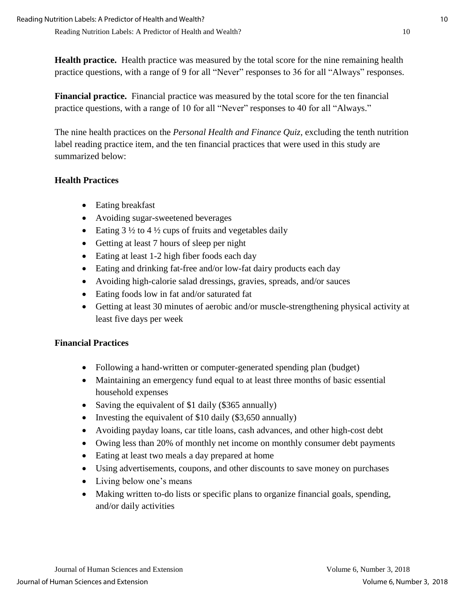**Health practice.** Health practice was measured by the total score for the nine remaining health practice questions, with a range of 9 for all "Never" responses to 36 for all "Always" responses.

**Financial practice.** Financial practice was measured by the total score for the ten financial practice questions, with a range of 10 for all "Never" responses to 40 for all "Always."

The nine health practices on the *Personal Health and Finance Quiz,* excluding the tenth nutrition label reading practice item, and the ten financial practices that were used in this study are summarized below:

# **Health Practices**

- Eating breakfast
- Avoiding sugar-sweetened beverages
- Eating  $3\frac{1}{2}$  to  $4\frac{1}{2}$  cups of fruits and vegetables daily
- Getting at least 7 hours of sleep per night
- Eating at least 1-2 high fiber foods each day
- Eating and drinking fat-free and/or low-fat dairy products each day
- Avoiding high-calorie salad dressings, gravies, spreads, and/or sauces
- Eating foods low in fat and/or saturated fat
- Getting at least 30 minutes of aerobic and/or muscle-strengthening physical activity at least five days per week

# **Financial Practices**

- Following a hand-written or computer-generated spending plan (budget)
- Maintaining an emergency fund equal to at least three months of basic essential household expenses
- Saving the equivalent of \$1 daily (\$365 annually)
- Investing the equivalent of  $$10$  daily ( $$3,650$  annually)
- Avoiding payday loans, car title loans, cash advances, and other high-cost debt
- Owing less than 20% of monthly net income on monthly consumer debt payments
- Eating at least two meals a day prepared at home
- Using advertisements, coupons, and other discounts to save money on purchases
- Living below one's means
- Making written to-do lists or specific plans to organize financial goals, spending, and/or daily activities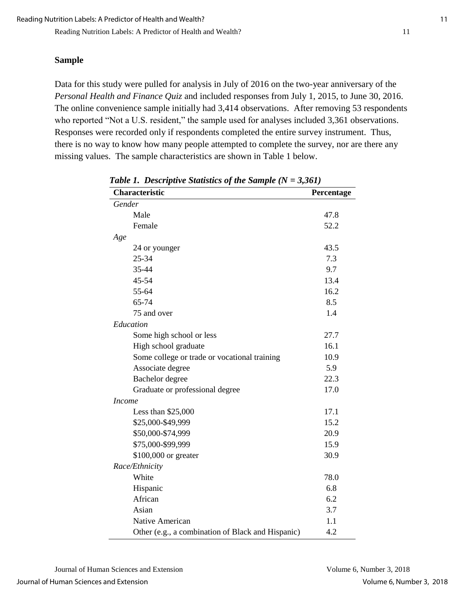#### **Sample**

Data for this study were pulled for analysis in July of 2016 on the two-year anniversary of the *Personal Health and Finance Quiz* and included responses from July 1, 2015, to June 30, 2016. The online convenience sample initially had 3,414 observations. After removing 53 respondents who reported "Not a U.S. resident," the sample used for analyses included 3,361 observations. Responses were recorded only if respondents completed the entire survey instrument. Thus, there is no way to know how many people attempted to complete the survey, nor are there any missing values. The sample characteristics are shown in Table 1 below.

| Characteristic                                    | Percentage |
|---------------------------------------------------|------------|
| Gender                                            |            |
| Male                                              | 47.8       |
| Female                                            | 52.2       |
| Age                                               |            |
| 24 or younger                                     | 43.5       |
| 25-34                                             | 7.3        |
| 35-44                                             | 9.7        |
| 45-54                                             | 13.4       |
| 55-64                                             | 16.2       |
| 65-74                                             | 8.5        |
| 75 and over                                       | 1.4        |
| Education                                         |            |
| Some high school or less                          | 27.7       |
| High school graduate                              | 16.1       |
| Some college or trade or vocational training      | 10.9       |
| Associate degree                                  | 5.9        |
| Bachelor degree                                   | 22.3       |
| Graduate or professional degree                   | 17.0       |
| <i>Income</i>                                     |            |
| Less than $$25,000$                               | 17.1       |
| \$25,000-\$49,999                                 | 15.2       |
| \$50,000-\$74,999                                 | 20.9       |
| \$75,000-\$99,999                                 | 15.9       |
| \$100,000 or greater                              | 30.9       |
| Race/Ethnicity                                    |            |
| White                                             | 78.0       |
| Hispanic                                          | 6.8        |
| African                                           | 6.2        |
| Asian                                             | 3.7        |
| Native American                                   | 1.1        |
| Other (e.g., a combination of Black and Hispanic) | 4.2        |

*Table 1. Descriptive Statistics of the Sample (N = 3,361)*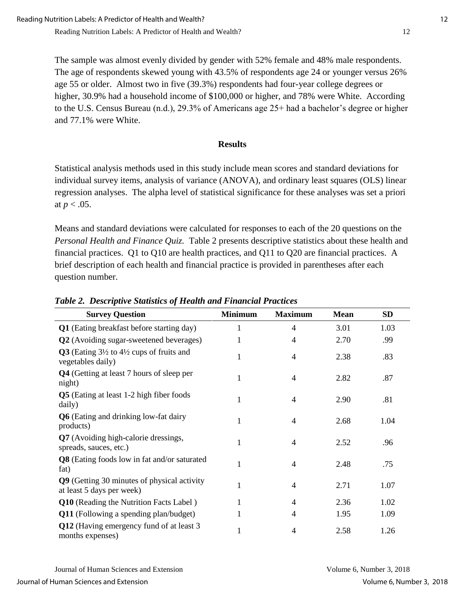The sample was almost evenly divided by gender with 52% female and 48% male respondents. The age of respondents skewed young with 43.5% of respondents age 24 or younger versus 26% age 55 or older. Almost two in five (39.3%) respondents had four-year college degrees or higher, 30.9% had a household income of \$100,000 or higher, and 78% were White. According to the U.S. Census Bureau (n.d.), 29.3% of Americans age 25+ had a bachelor's degree or higher and 77.1% were White.

### **Results**

Statistical analysis methods used in this study include mean scores and standard deviations for individual survey items, analysis of variance (ANOVA), and ordinary least squares (OLS) linear regression analyses. The alpha level of statistical significance for these analyses was set a priori at  $p < .05$ .

Means and standard deviations were calculated for responses to each of the 20 questions on the *Personal Health and Finance Quiz.* Table 2 presents descriptive statistics about these health and financial practices. Q1 to Q10 are health practices, and Q11 to Q20 are financial practices. A brief description of each health and financial practice is provided in parentheses after each question number.

| <b>Survey Question</b>                                                              | <b>Minimum</b> | <b>Maximum</b> | <b>Mean</b> | <b>SD</b> |
|-------------------------------------------------------------------------------------|----------------|----------------|-------------|-----------|
| Q1 (Eating breakfast before starting day)                                           | 1              | 4              | 3.01        | 1.03      |
| <b>Q2</b> (Avoiding sugar-sweetened beverages)                                      | 1              | 4              | 2.70        | .99       |
| Q3 (Eating $3\frac{1}{2}$ to $4\frac{1}{2}$ cups of fruits and<br>vegetables daily) | 1              | 4              | 2.38        | .83       |
| Q4 (Getting at least 7 hours of sleep per<br>night)                                 | $\mathbf{1}$   | 4              | 2.82        | .87       |
| <b>Q5</b> (Eating at least 1-2 high fiber foods<br>daily)                           | 1              | 4              | 2.90        | .81       |
| <b>Q6</b> (Eating and drinking low-fat dairy<br>products)                           | 1              | 4              | 2.68        | 1.04      |
| Q7 (Avoiding high-calorie dressings,<br>spreads, sauces, etc.)                      | 1              | 4              | 2.52        | .96       |
| <b>Q8</b> (Eating foods low in fat and/or saturated<br>fat)                         | 1              | 4              | 2.48        | .75       |
| Q9 (Getting 30 minutes of physical activity<br>at least 5 days per week)            | $\mathbf{1}$   | 4              | 2.71        | 1.07      |
| Q10 (Reading the Nutrition Facts Label)                                             | 1              | 4              | 2.36        | 1.02      |
| <b>Q11</b> (Following a spending plan/budget)                                       |                | 4              | 1.95        | 1.09      |
| Q12 (Having emergency fund of at least 3)<br>months expenses)                       | $\mathbf{1}$   | 4              | 2.58        | 1.26      |

*Table 2. Descriptive Statistics of Health and Financial Practices*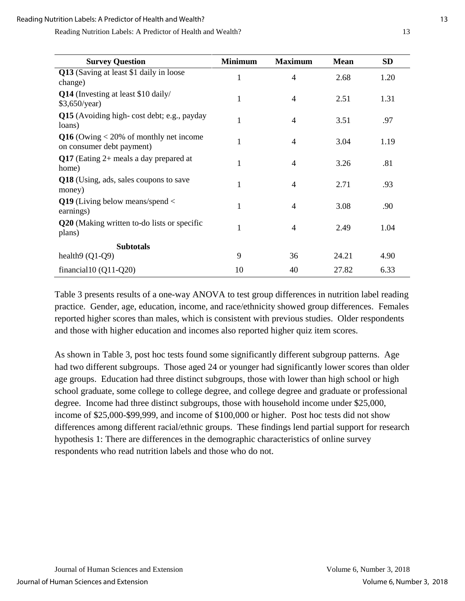| <b>Survey Question</b>                                                  | <b>Minimum</b> | <b>Maximum</b> | <b>Mean</b> | <b>SD</b> |
|-------------------------------------------------------------------------|----------------|----------------|-------------|-----------|
| Q13 (Saving at least \$1 daily in loose<br>change)                      | $\mathbf{1}$   | $\overline{4}$ | 2.68        | 1.20      |
| Q14 (Investing at least \$10 daily/<br>\$3,650/year)                    | $\mathbf{1}$   | 4              | 2.51        | 1.31      |
| Q15 (Avoiding high-cost debt; e.g., payday<br>loans)                    | 1              | 4              | 3.51        | .97       |
| $Q16$ (Owing $<$ 20% of monthly net income<br>on consumer debt payment) | 1              | $\overline{4}$ | 3.04        | 1.19      |
| Q17 (Eating $2+$ meals a day prepared at<br>home)                       | 1              | 4              | 3.26        | .81       |
| Q18 (Using, ads, sales coupons to save<br>money)                        | 1              | $\overline{4}$ | 2.71        | .93       |
| Q19 (Living below means/spend $\lt$<br>earnings)                        | $\mathbf{1}$   | $\overline{4}$ | 3.08        | .90       |
| Q20 (Making written to-do lists or specific<br>plans)                   | 1              | 4              | 2.49        | 1.04      |
| <b>Subtotals</b>                                                        |                |                |             |           |
| health $9(Q1-Q9)$                                                       | 9              | 36             | 24.21       | 4.90      |
| financial10 $(Q11-Q20)$                                                 | 10             | 40             | 27.82       | 6.33      |

Table 3 presents results of a one-way ANOVA to test group differences in nutrition label reading practice. Gender, age, education, income, and race/ethnicity showed group differences. Females reported higher scores than males, which is consistent with previous studies. Older respondents and those with higher education and incomes also reported higher quiz item scores.

As shown in Table 3, post hoc tests found some significantly different subgroup patterns. Age had two different subgroups. Those aged 24 or younger had significantly lower scores than older age groups. Education had three distinct subgroups, those with lower than high school or high school graduate, some college to college degree, and college degree and graduate or professional degree. Income had three distinct subgroups, those with household income under \$25,000, income of \$25,000-\$99,999, and income of \$100,000 or higher. Post hoc tests did not show differences among different racial/ethnic groups. These findings lend partial support for research hypothesis 1: There are differences in the demographic characteristics of online survey respondents who read nutrition labels and those who do not.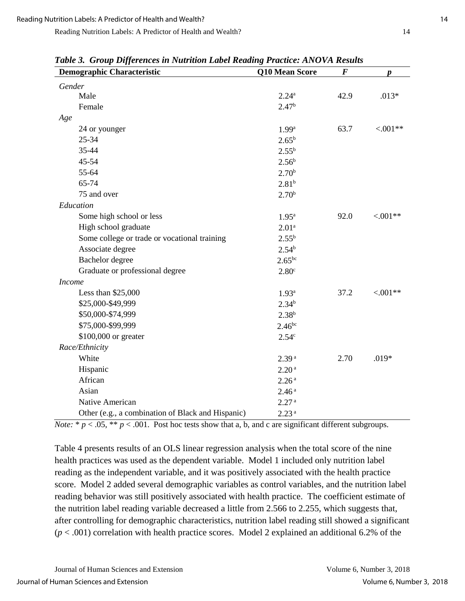| <b>Demographic Characteristic</b>                 | Q10 Mean Score    |      | p           |  |  |
|---------------------------------------------------|-------------------|------|-------------|--|--|
| Gender                                            |                   |      |             |  |  |
| Male                                              | $2.24^{\rm a}$    | 42.9 | $.013*$     |  |  |
| Female                                            | 2.47 <sup>b</sup> |      |             |  |  |
| Age                                               |                   |      |             |  |  |
| 24 or younger                                     | 1.99 <sup>a</sup> | 63.7 | $< 0.01**$  |  |  |
| 25-34                                             | $2.65^{\rm b}$    |      |             |  |  |
| 35-44                                             | $2.55^{b}$        |      |             |  |  |
| 45-54                                             | $2.56^{\rm b}$    |      |             |  |  |
| 55-64                                             | 2.70 <sup>b</sup> |      |             |  |  |
| 65-74                                             | $2.81^{b}$        |      |             |  |  |
| 75 and over                                       | 2.70 <sup>b</sup> |      |             |  |  |
| Education                                         |                   |      |             |  |  |
| Some high school or less                          | $1.95^{\rm a}$    | 92.0 | $< 0.01**$  |  |  |
| High school graduate                              | 2.01 <sup>a</sup> |      |             |  |  |
| Some college or trade or vocational training      | $2.55^{b}$        |      |             |  |  |
| Associate degree                                  | $2.54^{b}$        |      |             |  |  |
| Bachelor degree                                   | $2.65^{bc}$       |      |             |  |  |
| Graduate or professional degree                   | 2.80 <sup>c</sup> |      |             |  |  |
| <b>Income</b>                                     |                   |      |             |  |  |
| Less than \$25,000                                | $1.93^{\rm a}$    | 37.2 | ${<}.001**$ |  |  |
| \$25,000-\$49,999                                 | $2.34^{b}$        |      |             |  |  |
| \$50,000-\$74,999                                 | $2.38^{b}$        |      |             |  |  |
| \$75,000-\$99,999                                 | $2.46^{bc}$       |      |             |  |  |
| \$100,000 or greater                              | 2.54 <sup>c</sup> |      |             |  |  |
| Race/Ethnicity                                    |                   |      |             |  |  |
| White                                             | 2.39 <sup>a</sup> | 2.70 | $.019*$     |  |  |
| Hispanic                                          | 2.20 <sup>a</sup> |      |             |  |  |
| African                                           | 2.26 <sup>a</sup> |      |             |  |  |
| Asian                                             | 2.46 <sup>a</sup> |      |             |  |  |
| Native American                                   | 2.27 <sup>a</sup> |      |             |  |  |
| Other (e.g., a combination of Black and Hispanic) | 2.23 <sup>a</sup> |      |             |  |  |

*Table 3. Group Differences in Nutrition Label Reading Practice: ANOVA Results*

*Note:*  $* p < .05$ ,  $** p < .001$ . Post hoc tests show that a, b, and c are significant different subgroups.

Table 4 presents results of an OLS linear regression analysis when the total score of the nine health practices was used as the dependent variable. Model 1 included only nutrition label reading as the independent variable, and it was positively associated with the health practice score. Model 2 added several demographic variables as control variables, and the nutrition label reading behavior was still positively associated with health practice. The coefficient estimate of the nutrition label reading variable decreased a little from 2.566 to 2.255, which suggests that, after controlling for demographic characteristics, nutrition label reading still showed a significant  $(p < .001)$  correlation with health practice scores. Model 2 explained an additional 6.2% of the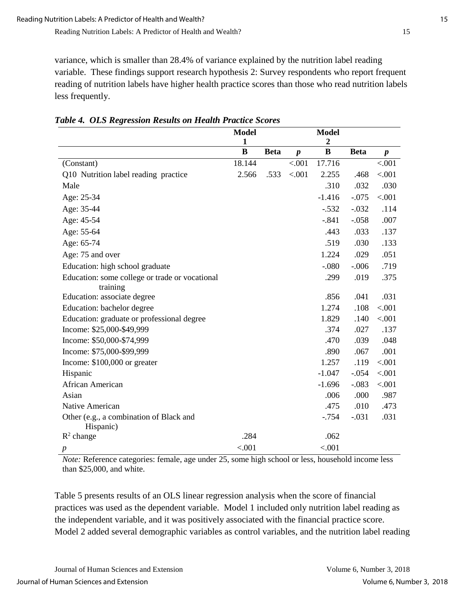variance, which is smaller than 28.4% of variance explained by the nutrition label reading variable. These findings support research hypothesis 2: Survey respondents who report frequent reading of nutrition labels have higher health practice scores than those who read nutrition labels less frequently.

|                                                      | <b>Model</b>      |             |                  | <b>Model</b>                 |             |                  |
|------------------------------------------------------|-------------------|-------------|------------------|------------------------------|-------------|------------------|
|                                                      | $\mathbf{1}$<br>B | <b>Beta</b> | $\boldsymbol{p}$ | $\boldsymbol{2}$<br>$\bf{B}$ | <b>Beta</b> | $\boldsymbol{p}$ |
| (Constant)                                           | 18.144            |             | < .001           | 17.716                       |             | < .001           |
| Q10 Nutrition label reading practice                 | 2.566             | .533        | < .001           | 2.255                        | .468        | < .001           |
| Male                                                 |                   |             |                  | .310                         | .032        | .030             |
| Age: 25-34                                           |                   |             |                  | $-1.416$                     | $-.075$     | < .001           |
| Age: 35-44                                           |                   |             |                  | $-.532$                      | $-.032$     | .114             |
| Age: 45-54                                           |                   |             |                  | $-.841$                      | $-.058$     | .007             |
| Age: 55-64                                           |                   |             |                  | .443                         | .033        | .137             |
| Age: 65-74                                           |                   |             |                  | .519                         | .030        | .133             |
| Age: 75 and over                                     |                   |             |                  | 1.224                        | .029        | .051             |
| Education: high school graduate                      |                   |             |                  | $-.080$                      | $-.006$     | .719             |
| Education: some college or trade or vocational       |                   |             |                  | .299                         | .019        | .375             |
| training                                             |                   |             |                  |                              |             |                  |
| Education: associate degree                          |                   |             |                  | .856                         | .041        | .031             |
| Education: bachelor degree                           |                   |             |                  | 1.274                        | .108        | < .001           |
| Education: graduate or professional degree           |                   |             |                  | 1.829                        | .140        | < .001           |
| Income: \$25,000-\$49,999                            |                   |             |                  | .374                         | .027        | .137             |
| Income: \$50,000-\$74,999                            |                   |             |                  | .470                         | .039        | .048             |
| Income: \$75,000-\$99,999                            |                   |             |                  | .890                         | .067        | .001             |
| Income: $$100,000$ or greater                        |                   |             |                  | 1.257                        | .119        | < .001           |
| Hispanic                                             |                   |             |                  | $-1.047$                     | $-.054$     | < .001           |
| African American                                     |                   |             |                  | $-1.696$                     | $-.083$     | < .001           |
| Asian                                                |                   |             |                  | .006                         | .000        | .987             |
| Native American                                      |                   |             |                  | .475                         | .010        | .473             |
| Other (e.g., a combination of Black and<br>Hispanic) |                   |             |                  | $-0.754$                     | $-.031$     | .031             |
| $R^2$ change                                         | .284              |             |                  | .062                         |             |                  |
| $\boldsymbol{p}$                                     | < .001            |             |                  | < .001                       |             |                  |

*Table 4. OLS Regression Results on Health Practice Scores*

*Note:* Reference categories: female, age under 25, some high school or less, household income less than \$25,000, and white.

Table 5 presents results of an OLS linear regression analysis when the score of financial practices was used as the dependent variable. Model 1 included only nutrition label reading as the independent variable, and it was positively associated with the financial practice score. Model 2 added several demographic variables as control variables, and the nutrition label reading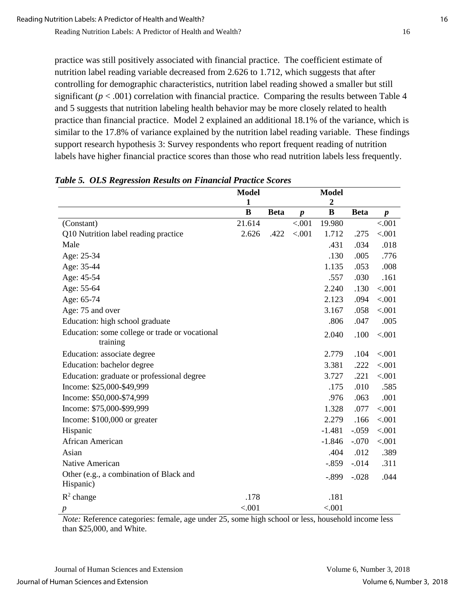practice was still positively associated with financial practice. The coefficient estimate of nutrition label reading variable decreased from 2.626 to 1.712, which suggests that after controlling for demographic characteristics, nutrition label reading showed a smaller but still significant  $(p < .001)$  correlation with financial practice. Comparing the results between Table 4 and 5 suggests that nutrition labeling health behavior may be more closely related to health practice than financial practice. Model 2 explained an additional 18.1% of the variance, which is similar to the 17.8% of variance explained by the nutrition label reading variable. These findings support research hypothesis 3: Survey respondents who report frequent reading of nutrition labels have higher financial practice scores than those who read nutrition labels less frequently.

|                                                      | <b>Model</b>             |             |                  | <b>Model</b>          |             |                  |
|------------------------------------------------------|--------------------------|-------------|------------------|-----------------------|-------------|------------------|
|                                                      | $\mathbf{1}$<br>$\bf{B}$ | <b>Beta</b> | $\boldsymbol{p}$ | $\boldsymbol{2}$<br>B | <b>Beta</b> | $\boldsymbol{p}$ |
| (Constant)                                           | 21.614                   |             | < .001           | 19.980                |             | < .001           |
| Q10 Nutrition label reading practice                 | 2.626                    | .422        | < 0.001          | 1.712                 | .275        | < .001           |
| Male                                                 |                          |             |                  | .431                  | .034        | .018             |
| Age: 25-34                                           |                          |             |                  | .130                  | .005        | .776             |
| Age: 35-44                                           |                          |             |                  | 1.135                 | .053        | .008             |
| Age: 45-54                                           |                          |             |                  | .557                  | .030        | .161             |
| Age: 55-64                                           |                          |             |                  | 2.240                 | .130        | < .001           |
| Age: 65-74                                           |                          |             |                  | 2.123                 | .094        | < .001           |
| Age: 75 and over                                     |                          |             |                  | 3.167                 | .058        | < .001           |
| Education: high school graduate                      |                          |             |                  | .806                  | .047        | .005             |
| Education: some college or trade or vocational       |                          |             |                  | 2.040                 | .100        | < .001           |
| training                                             |                          |             |                  |                       |             |                  |
| Education: associate degree                          |                          |             |                  | 2.779                 | .104        | < .001           |
| Education: bachelor degree                           |                          |             |                  | 3.381                 | .222        | < .001           |
| Education: graduate or professional degree           |                          |             |                  | 3.727                 | .221        | < .001           |
| Income: \$25,000-\$49,999                            |                          |             |                  | .175                  | .010        | .585             |
| Income: \$50,000-\$74,999                            |                          |             |                  | .976                  | .063        | .001             |
| Income: \$75,000-\$99,999                            |                          |             |                  | 1.328                 | .077        | < .001           |
| Income: \$100,000 or greater                         |                          |             |                  | 2.279                 | .166        | < .001           |
| Hispanic                                             |                          |             |                  | $-1.481$              | $-.059$     | < .001           |
| African American                                     |                          |             |                  | $-1.846$              | $-.070$     | < .001           |
| Asian                                                |                          |             |                  | .404                  | .012        | .389             |
| Native American                                      |                          |             |                  | $-.859$               | $-0.014$    | .311             |
| Other (e.g., a combination of Black and<br>Hispanic) |                          |             |                  | $-.899$               | $-.028$     | .044             |
| $R^2$ change                                         | .178                     |             |                  | .181                  |             |                  |
| $\boldsymbol{p}$                                     | < .001                   |             |                  | < .001                |             |                  |

*Table 5. OLS Regression Results on Financial Practice Scores*

*Note:* Reference categories: female, age under 25, some high school or less, household income less than \$25,000, and White.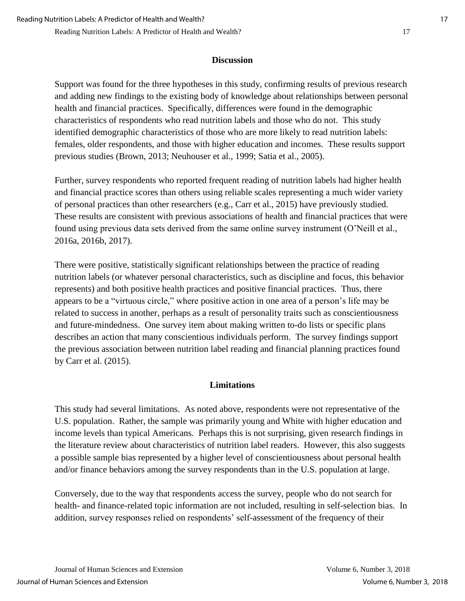### **Discussion**

Support was found for the three hypotheses in this study, confirming results of previous research and adding new findings to the existing body of knowledge about relationships between personal health and financial practices. Specifically, differences were found in the demographic characteristics of respondents who read nutrition labels and those who do not. This study identified demographic characteristics of those who are more likely to read nutrition labels: females, older respondents, and those with higher education and incomes. These results support previous studies (Brown, 2013; Neuhouser et al., 1999; Satia et al., 2005).

Further, survey respondents who reported frequent reading of nutrition labels had higher health and financial practice scores than others using reliable scales representing a much wider variety of personal practices than other researchers (e.g., Carr et al., 2015) have previously studied. These results are consistent with previous associations of health and financial practices that were found using previous data sets derived from the same online survey instrument (O'Neill et al., 2016a, 2016b, 2017).

There were positive, statistically significant relationships between the practice of reading nutrition labels (or whatever personal characteristics, such as discipline and focus, this behavior represents) and both positive health practices and positive financial practices. Thus, there appears to be a "virtuous circle," where positive action in one area of a person's life may be related to success in another, perhaps as a result of personality traits such as conscientiousness and future-mindedness. One survey item about making written to-do lists or specific plans describes an action that many conscientious individuals perform. The survey findings support the previous association between nutrition label reading and financial planning practices found by Carr et al. (2015).

# **Limitations**

This study had several limitations. As noted above, respondents were not representative of the U.S. population. Rather, the sample was primarily young and White with higher education and income levels than typical Americans. Perhaps this is not surprising, given research findings in the literature review about characteristics of nutrition label readers. However, this also suggests a possible sample bias represented by a higher level of conscientiousness about personal health and/or finance behaviors among the survey respondents than in the U.S. population at large.

Conversely, due to the way that respondents access the survey, people who do not search for health- and finance-related topic information are not included, resulting in self-selection bias. In addition, survey responses relied on respondents' self-assessment of the frequency of their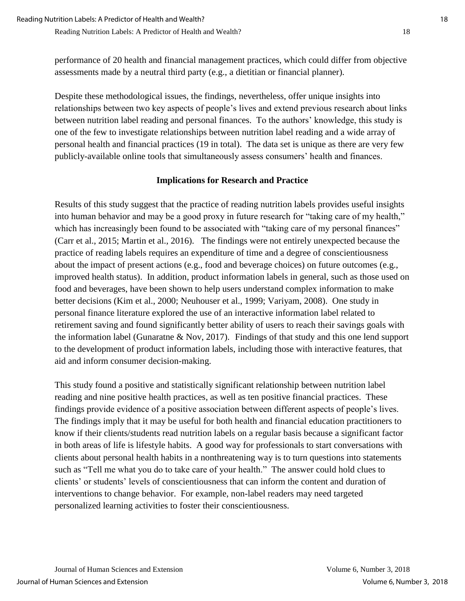performance of 20 health and financial management practices, which could differ from objective assessments made by a neutral third party (e.g., a dietitian or financial planner).

Despite these methodological issues, the findings, nevertheless, offer unique insights into relationships between two key aspects of people's lives and extend previous research about links between nutrition label reading and personal finances. To the authors' knowledge, this study is one of the few to investigate relationships between nutrition label reading and a wide array of personal health and financial practices (19 in total). The data set is unique as there are very few publicly-available online tools that simultaneously assess consumers' health and finances.

#### **Implications for Research and Practice**

Results of this study suggest that the practice of reading nutrition labels provides useful insights into human behavior and may be a good proxy in future research for "taking care of my health," which has increasingly been found to be associated with "taking care of my personal finances" (Carr et al., 2015; Martin et al., 2016). The findings were not entirely unexpected because the practice of reading labels requires an expenditure of time and a degree of conscientiousness about the impact of present actions (e.g., food and beverage choices) on future outcomes (e.g., improved health status). In addition, product information labels in general, such as those used on food and beverages, have been shown to help users understand complex information to make better decisions (Kim et al., 2000; Neuhouser et al., 1999; Variyam, 2008). One study in personal finance literature explored the use of an interactive information label related to retirement saving and found significantly better ability of users to reach their savings goals with the information label (Gunaratne & Nov, 2017). Findings of that study and this one lend support to the development of product information labels, including those with interactive features, that aid and inform consumer decision-making.

This study found a positive and statistically significant relationship between nutrition label reading and nine positive health practices, as well as ten positive financial practices. These findings provide evidence of a positive association between different aspects of people's lives. The findings imply that it may be useful for both health and financial education practitioners to know if their clients/students read nutrition labels on a regular basis because a significant factor in both areas of life is lifestyle habits. A good way for professionals to start conversations with clients about personal health habits in a nonthreatening way is to turn questions into statements such as "Tell me what you do to take care of your health." The answer could hold clues to clients' or students' levels of conscientiousness that can inform the content and duration of interventions to change behavior. For example, non-label readers may need targeted personalized learning activities to foster their conscientiousness.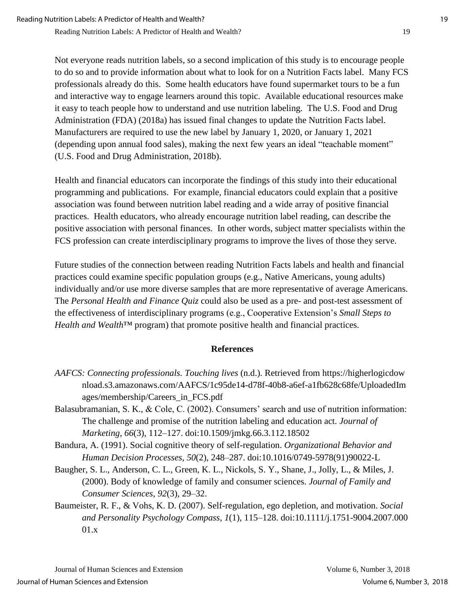Not everyone reads nutrition labels, so a second implication of this study is to encourage people to do so and to provide information about what to look for on a Nutrition Facts label. Many FCS professionals already do this. Some health educators have found supermarket tours to be a fun and interactive way to engage learners around this topic. Available educational resources make it easy to teach people how to understand and use nutrition labeling. The U.S. Food and Drug Administration (FDA) (2018a) has issued final changes to update the Nutrition Facts label. Manufacturers are required to use the new label by January 1, 2020, or January 1, 2021 (depending upon annual food sales), making the next few years an ideal "teachable moment" (U.S. Food and Drug Administration, 2018b).

Health and financial educators can incorporate the findings of this study into their educational programming and publications. For example, financial educators could explain that a positive association was found between nutrition label reading and a wide array of positive financial practices. Health educators, who already encourage nutrition label reading, can describe the positive association with personal finances. In other words, subject matter specialists within the FCS profession can create interdisciplinary programs to improve the lives of those they serve.

Future studies of the connection between reading Nutrition Facts labels and health and financial practices could examine specific population groups (e.g., Native Americans, young adults) individually and/or use more diverse samples that are more representative of average Americans. The *Personal Health and Finance Quiz* could also be used as a pre- and post-test assessment of the effectiveness of interdisciplinary programs (e.g., Cooperative Extension's *Small Steps to Health and Wealth*™ program) that promote positive health and financial practices.

# **References**

- *AAFCS: Connecting professionals. Touching lives* (n.d.). Retrieved from https://higherlogicdow nload.s3.amazonaws.com/AAFCS/1c95de14-d78f-40b8-a6ef-a1fb628c68fe/UploadedIm ages/membership/Careers\_in\_FCS.pdf
- Balasubramanian, S. K., & Cole, C. (2002). Consumers' search and use of nutrition information: The challenge and promise of the nutrition labeling and education act. *Journal of Marketing*, *66*(3), 112–127. doi:10.1509/jmkg.66.3.112.18502
- Bandura, A. (1991). Social cognitive theory of self-regulation. *Organizational Behavior and Human Decision Processes, 50*(2), 248–287. doi:10.1016/0749-5978(91)90022-L
- Baugher, S. L., Anderson, C. L., Green, K. L., Nickols, S. Y., Shane, J., Jolly, L., & Miles, J. (2000). Body of knowledge of family and consumer sciences. *Journal of Family and Consumer Sciences*, *92*(3), 29–32.
- Baumeister, R. F., & Vohs, K. D. (2007). Self-regulation, ego depletion, and motivation. *Social and Personality Psychology Compass, 1*(1), 115–128. doi:10.1111/j.1751-9004.2007.000 01.x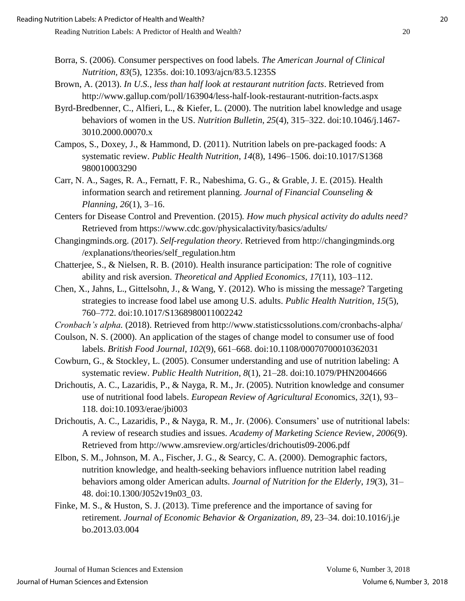- Borra, S. (2006). Consumer perspectives on food labels. *The American Journal of Clinical Nutrition, 83*(5), 1235s. doi:10.1093/ajcn/83.5.1235S
- Brown, A. (2013). *In U.S., less than half look at restaurant nutrition facts*. Retrieved from http://www.gallup.com/poll/163904/less-half-look-restaurant-nutrition-facts.aspx
- Byrd-Bredbenner, C., Alfieri, L., & Kiefer, L. (2000). The nutrition label knowledge and usage behaviors of women in the US. *Nutrition Bulletin*, *25*(4), 315–322. doi:10.1046/j.1467- 3010.2000.00070.x
- Campos, S., Doxey, J., & Hammond, D. (2011). Nutrition labels on pre-packaged foods: A systematic review. *Public Health Nutrition*, *14*(8), 1496–1506. doi:10.1017/S1368 980010003290
- Carr, N. A., Sages, R. A., Fernatt, F. R., Nabeshima, G. G., & Grable, J. E. (2015). Health information search and retirement planning. *Journal of Financial Counseling & Planning, 26*(1), 3–16.
- Centers for Disease Control and Prevention. (2015)*. How much physical activity do adults need?* Retrieved from https://www.cdc.gov/physicalactivity/basics/adults/
- Changingminds.org. (2017). *Self-regulation theory*. Retrieved from http://changingminds.org /explanations/theories/self\_regulation.htm
- Chatterjee, S., & Nielsen, R. B. (2010). Health insurance participation: The role of cognitive ability and risk aversion. *Theoretical and Applied Economics*, *17*(11), 103–112.
- Chen, X., Jahns, L., Gittelsohn, J., & Wang, Y. (2012). Who is missing the message? Targeting strategies to increase food label use among U.S. adults. *Public Health Nutrition*, *15*(5), 760–772. doi:10.1017/S1368980011002242
- *Cronbach's alpha.* (2018). Retrieved from http://www.statisticssolutions.com/cronbachs-alpha/
- Coulson, N. S. (2000). An application of the stages of change model to consumer use of food labels. *British Food Journal*, *102*(9), 661–668. doi:10.1108/00070700010362031
- Cowburn, G., & Stockley, L. (2005). Consumer understanding and use of nutrition labeling: A systematic review. *Public Health Nutrition*, *8*(1), 21–28. doi:10.1079/PHN2004666
- Drichoutis, A. C., Lazaridis, P., & Nayga, R. M., Jr. (2005). Nutrition knowledge and consumer use of nutritional food labels. *European Review of Agricultural Econ*omics*, 32*(1), 93– 118. doi:10.1093/erae/jbi003
- Drichoutis, A. C., Lazaridis, P., & Nayga, R. M., Jr. (2006). Consumers' use of nutritional labels: A review of research studies and issues. *Academy of Marketing Science Rev*iew*, 2006*(9). Retrieved from http://www.amsreview.org/articles/drichoutis09-2006.pdf
- Elbon, S. M., Johnson, M. A., Fischer, J. G., & Searcy, C. A. (2000). Demographic factors, nutrition knowledge, and health-seeking behaviors influence nutrition label reading behaviors among older American adults. *Journal of Nutrition for the Elderly*, *19*(3), 31– 48. doi:10.1300/J052v19n03\_03.
- Finke, M. S., & Huston, S. J. (2013). Time preference and the importance of saving for retirement. *Journal of Economic Behavior & Organization, 89*, 23–34. doi:10.1016/j.je bo.2013.03.004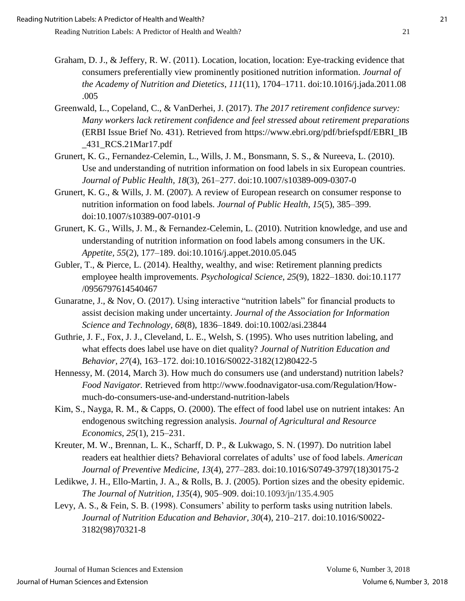- Graham, D. J., & Jeffery, R. W. (2011). Location, location, location: Eye-tracking evidence that consumers preferentially view prominently positioned nutrition information*. Journal of the Academy of Nutrition and Dietetics*, *111*(11), 1704–1711. doi:10.1016/j.jada.2011.08 .005
- Greenwald, L., Copeland, C., & VanDerhei, J. (2017). *The 2017 retirement confidence survey: Many workers lack retirement confidence and feel stressed about retirement preparations* (ERBI Issue Brief No. 431). Retrieved from https://www.ebri.org/pdf/briefspdf/EBRI\_IB \_431\_RCS.21Mar17.pdf
- Grunert, K. G., Fernandez-Celemin, L., Wills, J. M., Bonsmann, S. S., & Nureeva, L. (2010). Use and understanding of nutrition information on food labels in six European countries. *Journal of Public Health, 18*(3), 261–277. doi:10.1007/s10389-009-0307-0
- Grunert, K. G., & Wills, J. M. (2007). A review of European research on consumer response to nutrition information on food labels. *Journal of Public Health*, *15*(5), 385–399. doi:10.1007/s10389-007-0101-9
- Grunert, K. G., Wills, J. M., & Fernandez-Celemin, L. (2010). Nutrition knowledge, and use and understanding of nutrition information on food labels among consumers in the UK. *Appetite, 55*(2), 177–189. doi:10.1016/j.appet.2010.05.045
- Gubler, T., & Pierce, L. (2014). Healthy, wealthy, and wise: Retirement planning predicts employee health improvements. *Psychological Science*, *25*(9), 1822–1830. doi:10.1177 /0956797614540467
- Gunaratne, J., & Nov, O. (2017). Using interactive "nutrition labels" for financial products to assist decision making under uncertainty. *Journal of the Association for Information Science and Technology, 68*(8), 1836–1849. doi:10.1002/asi.23844
- Guthrie, J. F., Fox, J. J., Cleveland, L. E., Welsh, S. (1995). Who uses nutrition labeling, and what effects does label use have on diet quality? *Journal of Nutrition Education and Behavior, 27*(4), 163–172. doi:10.1016/S0022-3182(12)80422-5
- Hennessy, M. (2014, March 3). How much do consumers use (and understand) nutrition labels? *Food Navigator.* Retrieved from http://www.foodnavigator-usa.com/Regulation/Howmuch-do-consumers-use-and-understand-nutrition-labels
- Kim, S., Nayga, R. M., & Capps, O. (2000). The effect of food label use on nutrient intakes: An endogenous switching regression analysis. *Journal of Agricultural and Resource Economics*, *25*(1), 215–231.
- Kreuter, M. W., Brennan, L. K., Scharff, D. P., & Lukwago, S. N. (1997). Do nutrition label readers eat healthier diets? Behavioral correlates of adults' use of food labels. *American Journal of Preventive Medicine, 13*(4), 277–283. doi:10.1016/S0749-3797(18)30175-2
- Ledikwe, J. H., Ello-Martin, J. A., & Rolls, B. J. (2005). Portion sizes and the obesity epidemic. *The Journal of Nutrition, 135*(4), 905–909. doi:10.1093/jn/135.4.905
- Levy, A. S., & Fein, S. B. (1998). Consumers' ability to perform tasks using nutrition labels. *Journal of Nutrition Education and Behavior, 30*(4), 210–217. doi:10.1016/S0022- 3182(98)70321-8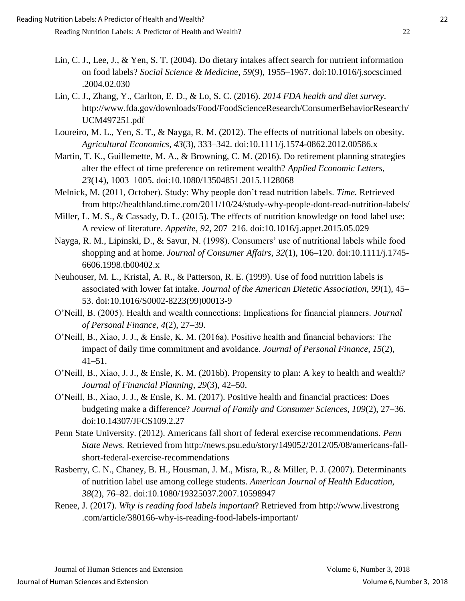- Lin, C. J., Lee, J., & Yen, S. T. (2004). Do dietary intakes affect search for nutrient information on food labels? *Social Science & Medicine*, *59*(9), 1955–1967. doi:10.1016/j.socscimed .2004.02.030
- Lin, C. J., Zhang, Y., Carlton, E. D., & Lo, S. C. (2016). *2014 FDA health and diet survey*. http://www.fda.gov/downloads/Food/FoodScienceResearch/ConsumerBehaviorResearch/ UCM497251.pdf
- Loureiro, M. L., Yen, S. T., & Nayga, R. M. (2012). The effects of nutritional labels on obesity. *Agricultural Economics, 43*(3), 333–342. doi:10.1111/j.1574-0862.2012.00586.x
- Martin, T. K., Guillemette, M. A., & Browning, C. M. (2016). Do retirement planning strategies alter the effect of time preference on retirement wealth? *Applied Economic Letters*, *23*(14), 1003–1005. doi:10.1080/13504851.2015.1128068
- Melnick, M. (2011, October). Study: Why people don't read nutrition labels. *Time.* Retrieved from http://healthland.time.com/2011/10/24/study-why-people-dont-read-nutrition-labels/
- Miller, L. M. S., & Cassady, D. L. (2015). The effects of nutrition knowledge on food label use: A review of literature. *Appetite*, *92*, 207–216. doi:10.1016/j.appet.2015.05.029
- Nayga, R. M., Lipinski, D., & Savur, N. (1998). Consumers' use of nutritional labels while food shopping and at home. *Journal of Consumer Affairs, 32*(1), 106–120. doi:10.1111/j.1745- 6606.1998.tb00402.x
- Neuhouser, M. L., Kristal, A. R., & Patterson, R. E. (1999). Use of food nutrition labels is associated with lower fat intake. *Journal of the American Dietetic Association, 99*(1), 45– 53. doi:10.1016/S0002-8223(99)00013-9
- O'Neill, B. (2005). Health and wealth connections: Implications for financial planners. *Journal of Personal Finance, 4*(2), 27–39.
- O'Neill, B., Xiao, J. J., & Ensle, K. M. (2016a). Positive health and financial behaviors: The impact of daily time commitment and avoidance. *Journal of Personal Finance*, *15*(2), 41–51.
- O'Neill, B., Xiao, J. J., & Ensle, K. M. (2016b). Propensity to plan: A key to health and wealth? *Journal of Financial Planning, 29*(3), 42–50.
- O'Neill, B., Xiao, J. J., & Ensle, K. M. (2017). Positive health and financial practices: Does budgeting make a difference? *Journal of Family and Consumer Sciences*, *109*(2), 27–36. doi:10.14307/JFCS109.2.27
- Penn State University. (2012). Americans fall short of federal exercise recommendations. *Penn State News.* Retrieved from http://news.psu.edu/story/149052/2012/05/08/americans-fallshort-federal-exercise-recommendations
- Rasberry, C. N., Chaney, B. H., Housman, J. M., Misra, R., & Miller, P. J. (2007). Determinants of nutrition label use among college students. *American Journal of Health Education, 38*(2), 76–82. doi:10.1080/19325037.2007.10598947
- Renee, J. (2017). *Why is reading food labels important*? Retrieved from http://www.livestrong .com/article/380166-why-is-reading-food-labels-important/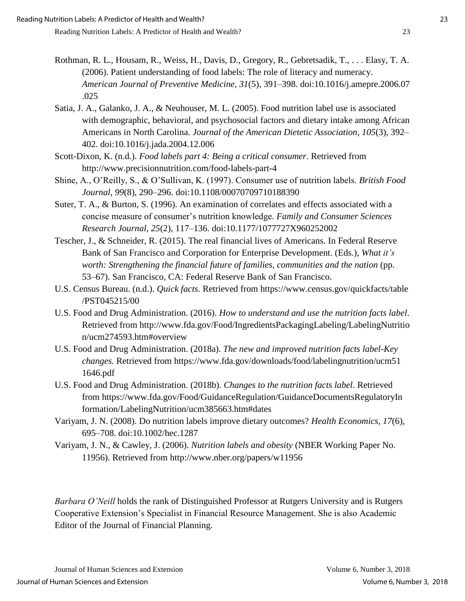- Rothman, R. L., Housam, R., Weiss, H., Davis, D., Gregory, R., Gebretsadik, T., . . . Elasy, T. A. (2006). Patient understanding of food labels: The role of literacy and numeracy. *American Journal of Preventive Medicine, 31*(5), 391–398. doi:10.1016/j.amepre.2006.07 .025
- Satia, J. A., Galanko, J. A., & Neuhouser, M. L. (2005). Food nutrition label use is associated with demographic, behavioral, and psychosocial factors and dietary intake among African Americans in North Carolina. *Journal of the American Dietetic Association*, *105*(3), 392– 402. doi:10.1016/j.jada.2004.12.006
- Scott-Dixon, K. (n.d.). *Food labels part 4: Being a critical consumer*. Retrieved from http://www.precisionnutrition.com/food-labels-part-4
- Shine, A., O'Reilly, S., & O'Sullivan, K. (1997). Consumer use of nutrition labels. *British Food Journal, 99*(8), 290–296. doi:10.1108/00070709710188390
- Suter, T. A., & Burton, S. (1996). An examination of correlates and effects associated with a concise measure of consumer's nutrition knowledge. *Family and Consumer Sciences Research Journal, 25*(2), 117–136. doi:10.1177/1077727X960252002
- Tescher, J., & Schneider, R. (2015). The real financial lives of Americans. In Federal Reserve Bank of San Francisco and Corporation for Enterprise Development. (Eds.), *What it's worth: Strengthening the financial future of families, communities and the nation* (pp. 53–67). San Francisco, CA: Federal Reserve Bank of San Francisco.
- U.S. Census Bureau. (n.d.). *Quick facts*. Retrieved from https://www.census.gov/quickfacts/table /PST045215/00
- U.S. Food and Drug Administration. (2016). *How to understand and use the nutrition facts label*. Retrieved from http://www.fda.gov/Food/IngredientsPackagingLabeling/LabelingNutritio n/ucm274593.htm#overview
- U.S. Food and Drug Administration. (2018a). *The new and improved nutrition facts label-Key changes.* Retrieved from https://www.fda.gov/downloads/food/labelingnutrition/ucm51 1646.pdf
- U.S. Food and Drug Administration. (2018b). *Changes to the nutrition facts label*. Retrieved from https://www.fda.gov/Food/GuidanceRegulation/GuidanceDocumentsRegulatoryIn formation/LabelingNutrition/ucm385663.htm#dates
- Variyam, J. N. (2008). Do nutrition labels improve dietary outcomes? *Health Economics, 17*(6), 695–708. doi:10.1002/hec.1287
- Variyam, J. N., & Cawley, J. (2006). *Nutrition labels and obesity* (NBER Working Paper No. 11956). Retrieved from http://www.nber.org/papers/w11956

*Barbara O'Neill* holds the rank of Distinguished Professor at Rutgers University and is Rutgers Cooperative Extension's Specialist in Financial Resource Management. She is also Academic Editor of the Journal of Financial Planning.